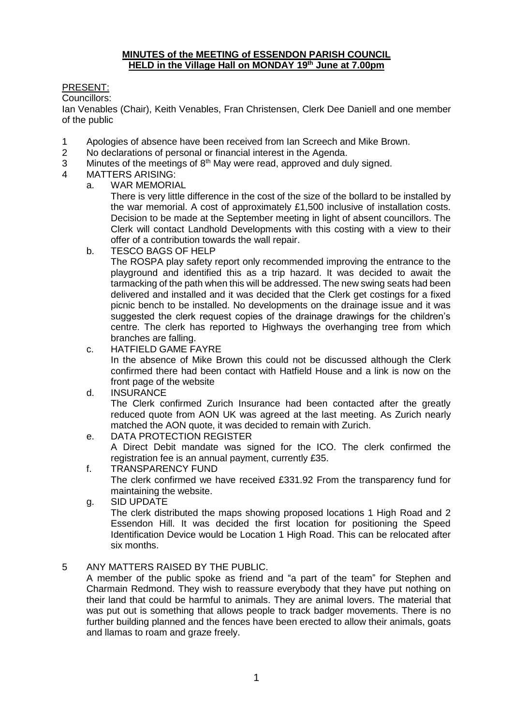#### **MINUTES of the MEETING of ESSENDON PARISH COUNCIL HELD in the Village Hall on MONDAY 19th June at 7.00pm**

## PRESENT:

Councillors:

Ian Venables (Chair), Keith Venables, Fran Christensen, Clerk Dee Daniell and one member of the public

- 1 Apologies of absence have been received from Ian Screech and Mike Brown.
- 2 No declarations of personal or financial interest in the Agenda.
- 3 Minutes of the meetings of  $8<sup>th</sup>$  May were read, approved and duly signed.
- 4 MATTERS ARISING:
	- a. WAR MEMORIAL

There is very little difference in the cost of the size of the bollard to be installed by the war memorial. A cost of approximately £1,500 inclusive of installation costs. Decision to be made at the September meeting in light of absent councillors. The Clerk will contact Landhold Developments with this costing with a view to their offer of a contribution towards the wall repair.

b. TESCO BAGS OF HELP

The ROSPA play safety report only recommended improving the entrance to the playground and identified this as a trip hazard. It was decided to await the tarmacking of the path when this will be addressed. The new swing seats had been delivered and installed and it was decided that the Clerk get costings for a fixed picnic bench to be installed. No developments on the drainage issue and it was suggested the clerk request copies of the drainage drawings for the children's centre. The clerk has reported to Highways the overhanging tree from which branches are falling.

c. HATFIELD GAME FAYRE

In the absence of Mike Brown this could not be discussed although the Clerk confirmed there had been contact with Hatfield House and a link is now on the front page of the website

d. INSURANCE

The Clerk confirmed Zurich Insurance had been contacted after the greatly reduced quote from AON UK was agreed at the last meeting. As Zurich nearly matched the AON quote, it was decided to remain with Zurich.

e. DATA PROTECTION REGISTER

A Direct Debit mandate was signed for the ICO. The clerk confirmed the registration fee is an annual payment, currently £35.

- f. TRANSPARENCY FUND The clerk confirmed we have received £331.92 From the transparency fund for maintaining the website.
- g. SID UPDATE

The clerk distributed the maps showing proposed locations 1 High Road and 2 Essendon Hill. It was decided the first location for positioning the Speed Identification Device would be Location 1 High Road. This can be relocated after six months.

### 5 ANY MATTERS RAISED BY THE PUBLIC.

A member of the public spoke as friend and "a part of the team" for Stephen and Charmain Redmond. They wish to reassure everybody that they have put nothing on their land that could be harmful to animals. They are animal lovers. The material that was put out is something that allows people to track badger movements. There is no further building planned and the fences have been erected to allow their animals, goats and llamas to roam and graze freely.